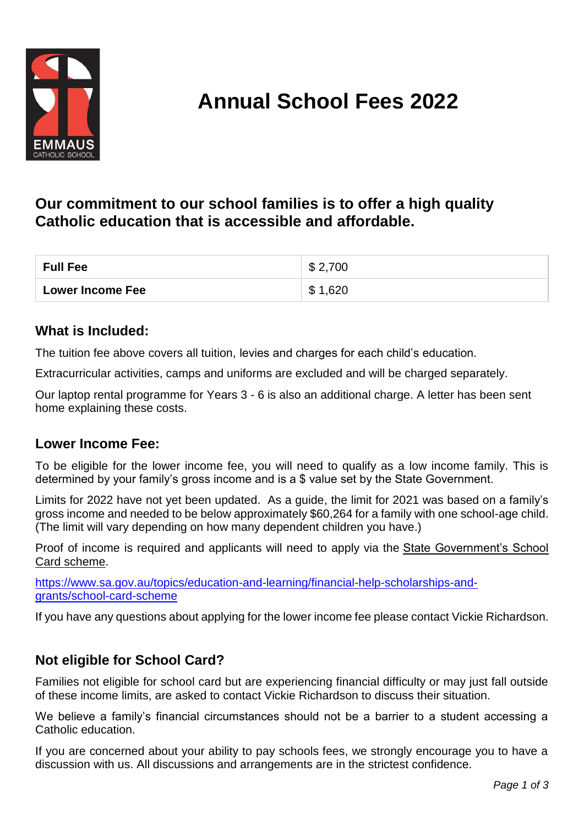

# **Annual School Fees 2022**

## **Our commitment to our school families is to offer a high quality Catholic education that is accessible and affordable.**

| <b>Full Fee</b>         | \$2,700 |
|-------------------------|---------|
| <b>Lower Income Fee</b> | \$1,620 |

#### **What is Included:**

The tuition fee above covers all tuition, levies and charges for each child's education.

Extracurricular activities, camps and uniforms are excluded and will be charged separately.

Our laptop rental programme for Years 3 - 6 is also an additional charge. A letter has been sent home explaining these costs.

#### **Lower Income Fee:**

To be eligible for the lower income fee, you will need to qualify as a low income family. This is determined by your family's gross income and is a \$ value set by the State Government.

Limits for 2022 have not yet been updated. As a guide, the limit for 2021 was based on a family's gross income and needed to be below approximately \$60,264 for a family with one school-age child. (The limit will vary depending on how many dependent children you have.)

Proof of income is required and applicants will need to apply via the [State Government's School](https://www.sa.gov.au/topics/education-and-learning/financial-help-scholarships-and-grants/school-card-scheme)  [Card scheme.](https://www.sa.gov.au/topics/education-and-learning/financial-help-scholarships-and-grants/school-card-scheme)

[https://www.sa.gov.au/topics/education-and-learning/financial-help-scholarships-and](https://www.sa.gov.au/topics/education-and-learning/financial-help-scholarships-and-grants/school-card-scheme)[grants/school-card-scheme](https://www.sa.gov.au/topics/education-and-learning/financial-help-scholarships-and-grants/school-card-scheme)

If you have any questions about applying for the lower income fee please contact Vickie Richardson.

#### **Not eligible for School Card?**

Families not eligible for school card but are experiencing financial difficulty or may just fall outside of these income limits, are asked to contact Vickie Richardson to discuss their situation.

We believe a family's financial circumstances should not be a barrier to a student accessing a Catholic education.

If you are concerned about your ability to pay schools fees, we strongly encourage you to have a discussion with us. All discussions and arrangements are in the strictest confidence.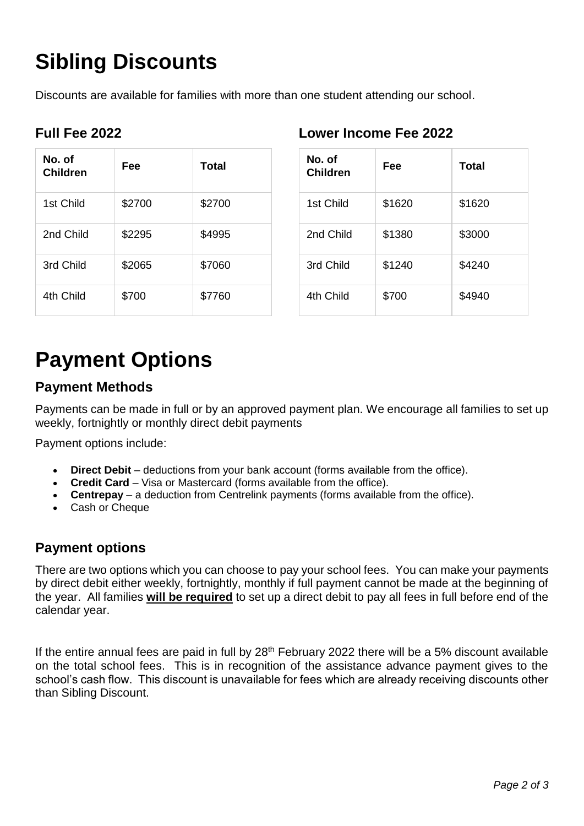# **Sibling Discounts**

Discounts are available for families with more than one student attending our school.

|  | <b>Full Fee 2022</b> |
|--|----------------------|
|  |                      |

| No. of<br>Children | Fee    | Total  |
|--------------------|--------|--------|
| 1st Child          | \$2700 | \$2700 |
| 2nd Child          | \$2295 | \$4995 |
| 3rd Child          | \$2065 | \$7060 |
| 4th Child          | \$700  | \$7760 |

#### **Lower Income Fee 2022**

| No. of<br><b>Children</b> | Fee    | Total  |
|---------------------------|--------|--------|
| 1st Child                 | \$1620 | \$1620 |
| 2nd Child                 | \$1380 | \$3000 |
| 3rd Child                 | \$1240 | \$4240 |
| 4th Child                 | \$700  | \$4940 |

# **Payment Options**

## **Payment Methods**

Payments can be made in full or by an approved payment plan. We encourage all families to set up weekly, fortnightly or monthly direct debit payments

Payment options include:

- **Direct Debit** deductions from your bank account (forms available from the office).
- **Credit Card** Visa or Mastercard (forms available from the office).
- **Centrepay** a deduction from Centrelink payments (forms available from the office).
- Cash or Cheque

#### **Payment options**

There are two options which you can choose to pay your school fees. You can make your payments by direct debit either weekly, fortnightly, monthly if full payment cannot be made at the beginning of the year. All families **will be required** to set up a direct debit to pay all fees in full before end of the calendar year.

If the entire annual fees are paid in full by  $28<sup>th</sup>$  February 2022 there will be a 5% discount available on the total school fees. This is in recognition of the assistance advance payment gives to the school's cash flow. This discount is unavailable for fees which are already receiving discounts other than Sibling Discount.